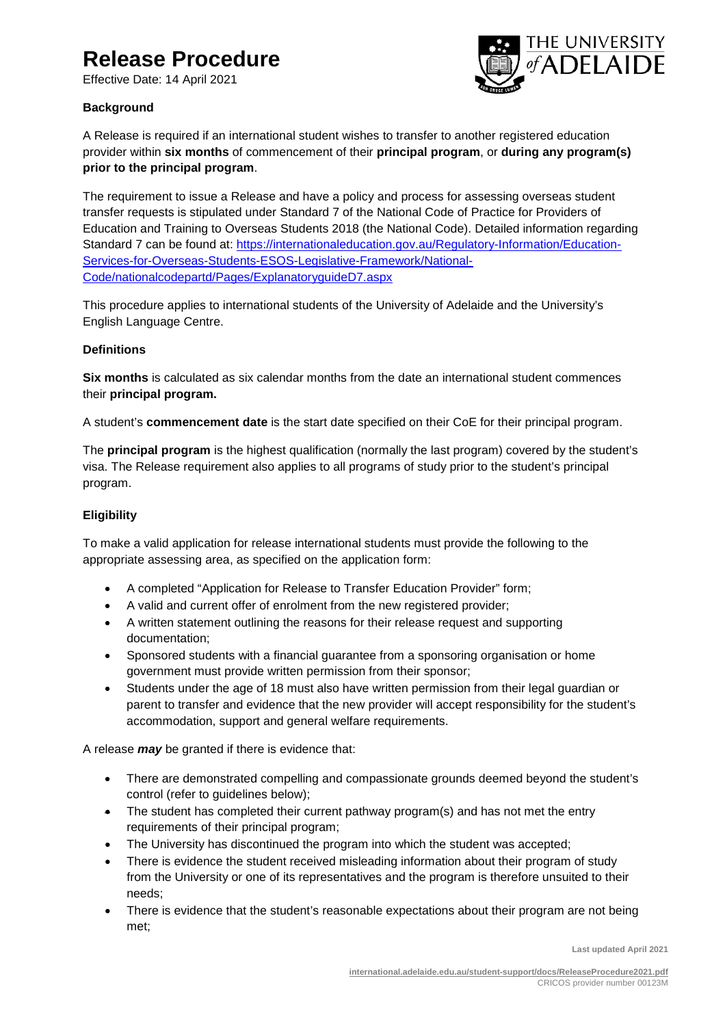# **Release Procedure**

Effective Date: 14 April 2021



# **Background**

A Release is required if an international student wishes to transfer to another registered education provider within **six months** of commencement of their **principal program**, or **during any program(s) prior to the principal program**.

The requirement to issue a Release and have a policy and process for assessing overseas student transfer requests is stipulated under Standard 7 of the National Code of Practice for Providers of Education and Training to Overseas Students 2018 (the National Code). Detailed information regarding Standard 7 can be found at: [https://internationaleducation.gov.au/Regulatory-Information/Education-](https://internationaleducation.gov.au/Regulatory-Information/Education-Services-for-Overseas-Students-ESOS-Legislative-Framework/National-Code/nationalcodepartd/Pages/ExplanatoryguideD7.aspx)[Services-for-Overseas-Students-ESOS-Legislative-Framework/National-](https://internationaleducation.gov.au/Regulatory-Information/Education-Services-for-Overseas-Students-ESOS-Legislative-Framework/National-Code/nationalcodepartd/Pages/ExplanatoryguideD7.aspx)[Code/nationalcodepartd/Pages/ExplanatoryguideD7.aspx](https://internationaleducation.gov.au/Regulatory-Information/Education-Services-for-Overseas-Students-ESOS-Legislative-Framework/National-Code/nationalcodepartd/Pages/ExplanatoryguideD7.aspx)

This procedure applies to international students of the University of Adelaide and the University's English Language Centre.

# **Definitions**

**Six months** is calculated as six calendar months from the date an international student commences their **principal program.** 

A student's **commencement date** is the start date specified on their CoE for their principal program.

The **principal program** is the highest qualification (normally the last program) covered by the student's visa. The Release requirement also applies to all programs of study prior to the student's principal program.

# **Eligibility**

To make a valid application for release international students must provide the following to the appropriate assessing area, as specified on the application form:

- A completed "Application for Release to Transfer Education Provider" form;
- A valid and current offer of enrolment from the new registered provider;
- A written statement outlining the reasons for their release request and supporting documentation;
- Sponsored students with a financial guarantee from a sponsoring organisation or home government must provide written permission from their sponsor;
- Students under the age of 18 must also have written permission from their legal guardian or parent to transfer and evidence that the new provider will accept responsibility for the student's accommodation, support and general welfare requirements.

A release *may* be granted if there is evidence that:

- There are demonstrated compelling and compassionate grounds deemed beyond the student's control (refer to guidelines below);
- The student has completed their current pathway program(s) and has not met the entry requirements of their principal program;
- The University has discontinued the program into which the student was accepted;
- There is evidence the student received misleading information about their program of study from the University or one of its representatives and the program is therefore unsuited to their needs;
- There is evidence that the student's reasonable expectations about their program are not being met;

**Last updated April 2021**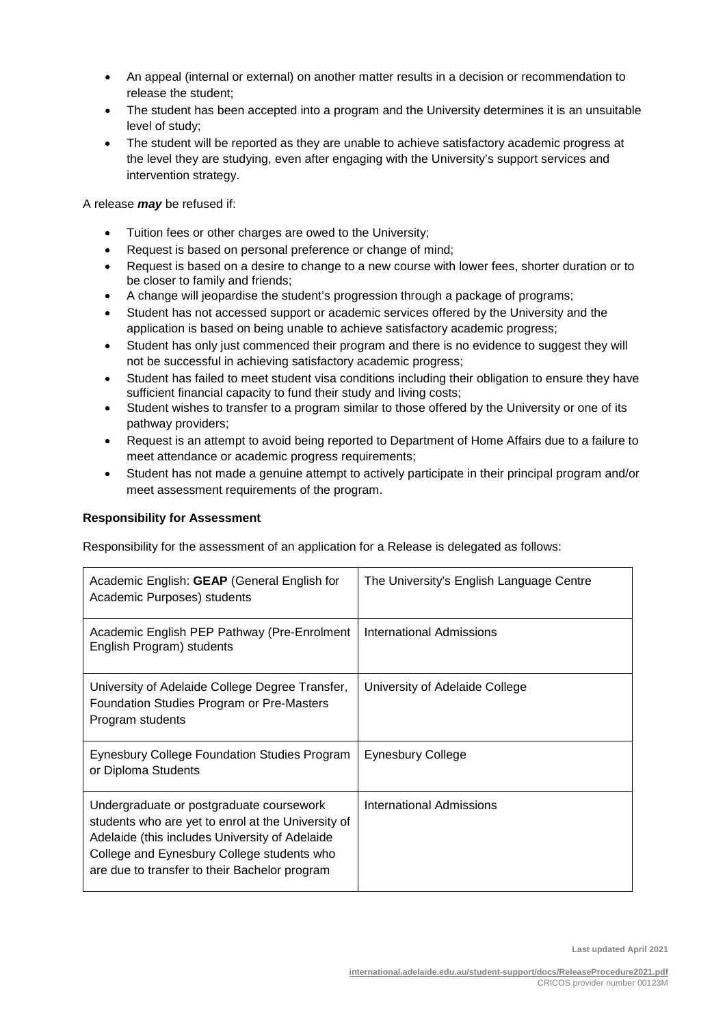- An appeal (internal or external) on another matter results in a decision or recommendation to release the student;
- The student has been accepted into a program and the University determines it is an unsuitable level of study;
- The student will be reported as they are unable to achieve satisfactory academic progress at the level they are studying, even after engaging with the University's support services and intervention strategy.

A release *may* be refused if:

- Tuition fees or other charges are owed to the University;
- Request is based on personal preference or change of mind:
- Request is based on a desire to change to a new course with lower fees, shorter duration or to be closer to family and friends;
- A change will jeopardise the student's progression through a package of programs;
- Student has not accessed support or academic services offered by the University and the application is based on being unable to achieve satisfactory academic progress;
- Student has only just commenced their program and there is no evidence to suggest they will not be successful in achieving satisfactory academic progress;
- Student has failed to meet student visa conditions including their obligation to ensure they have sufficient financial capacity to fund their study and living costs;
- Student wishes to transfer to a program similar to those offered by the University or one of its pathway providers;
- Request is an attempt to avoid being reported to Department of Home Affairs due to a failure to meet attendance or academic progress requirements;
- Student has not made a genuine attempt to actively participate in their principal program and/or meet assessment requirements of the program.

## **Responsibility for Assessment**

Responsibility for the assessment of an application for a Release is delegated as follows:

| Academic English: GEAP (General English for<br>Academic Purposes) students                                                                                                                                                                      | The University's English Language Centre |
|-------------------------------------------------------------------------------------------------------------------------------------------------------------------------------------------------------------------------------------------------|------------------------------------------|
| Academic English PEP Pathway (Pre-Enrolment<br>English Program) students                                                                                                                                                                        | International Admissions                 |
| University of Adelaide College Degree Transfer,<br>Foundation Studies Program or Pre-Masters<br>Program students                                                                                                                                | University of Adelaide College           |
| Eynesbury College Foundation Studies Program<br>or Diploma Students                                                                                                                                                                             | <b>Eynesbury College</b>                 |
| Undergraduate or postgraduate coursework<br>students who are yet to enrol at the University of<br>Adelaide (this includes University of Adelaide<br>College and Eynesbury College students who<br>are due to transfer to their Bachelor program | International Admissions                 |

**Last updated April 2021**